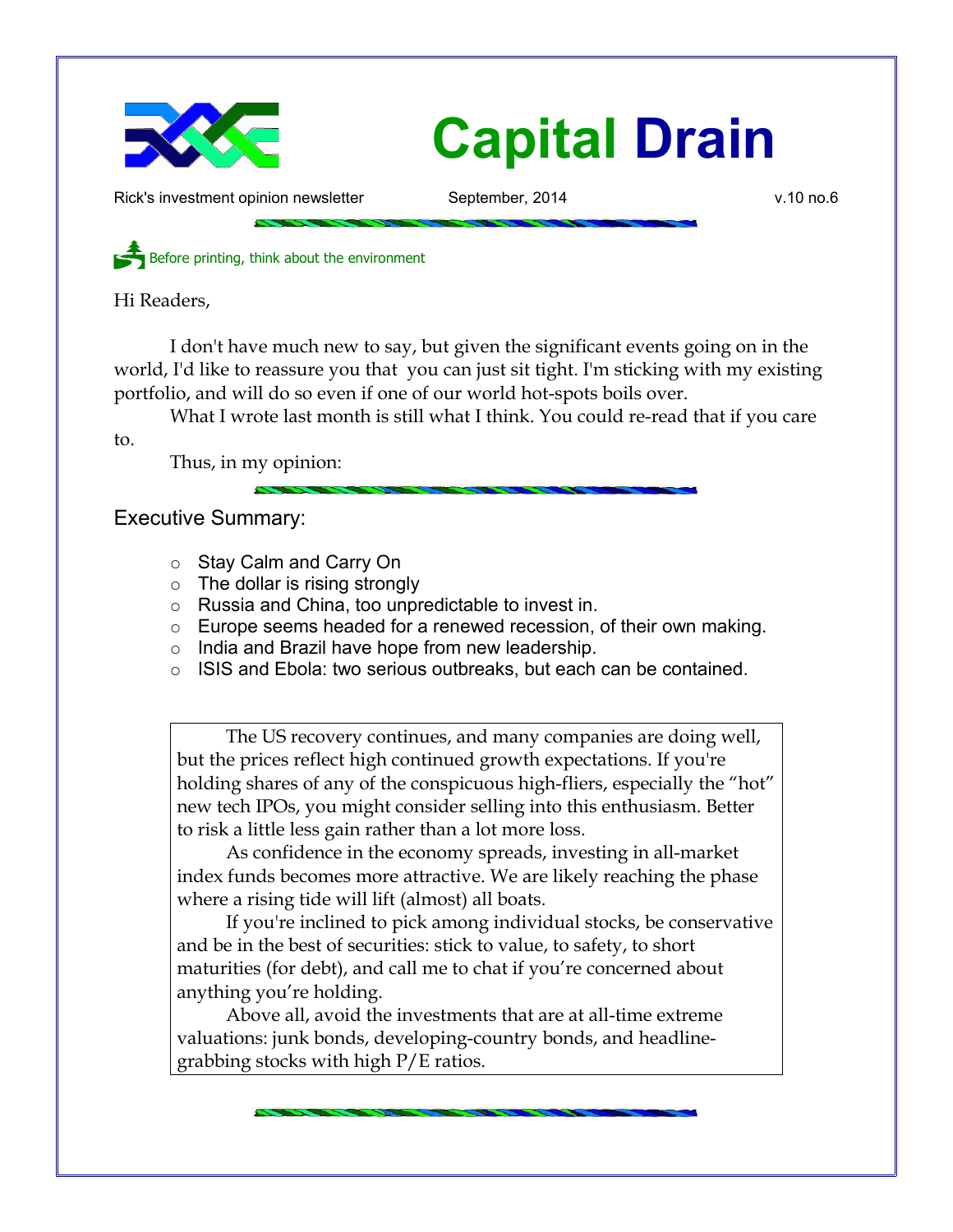

## **Capital Drain**

Rick's investment opinion newsletter September, 2014 by the settlem of the v.10 no.6

Before printing, think about the environment

Hi Readers,

I don't have much new to say, but given the significant events going on in the world, I'd like to reassure you that you can just sit tight. I'm sticking with my existing portfolio, and will do so even if one of our world hot-spots boils over.

What I wrote last month is still what I think. You could re-read that if you care

to.

Thus, in my opinion:

## Executive Summary:

- Stay Calm and Carry On
- $\circ$  The dollar is rising strongly
- Russia and China, too unpredictable to invest in.
- Europe seems headed for a renewed recession, of their own making.
- o India and Brazil have hope from new leadership.
- ISIS and Ebola: two serious outbreaks, but each can be contained.

The US recovery continues, and many companies are doing well, but the prices reflect high continued growth expectations. If you're holding shares of any of the conspicuous high-fliers, especially the "hot" new tech IPOs, you might consider selling into this enthusiasm. Better to risk a little less gain rather than a lot more loss.

As confidence in the economy spreads, investing in all-market index funds becomes more attractive. We are likely reaching the phase where a rising tide will lift (almost) all boats.

If you're inclined to pick among individual stocks, be conservative and be in the best of securities: stick to value, to safety, to short maturities (for debt), and call me to chat if you're concerned about anything you're holding.

Above all, avoid the investments that are at all-time extreme valuations: junk bonds, developing-country bonds, and headlinegrabbing stocks with high P/E ratios.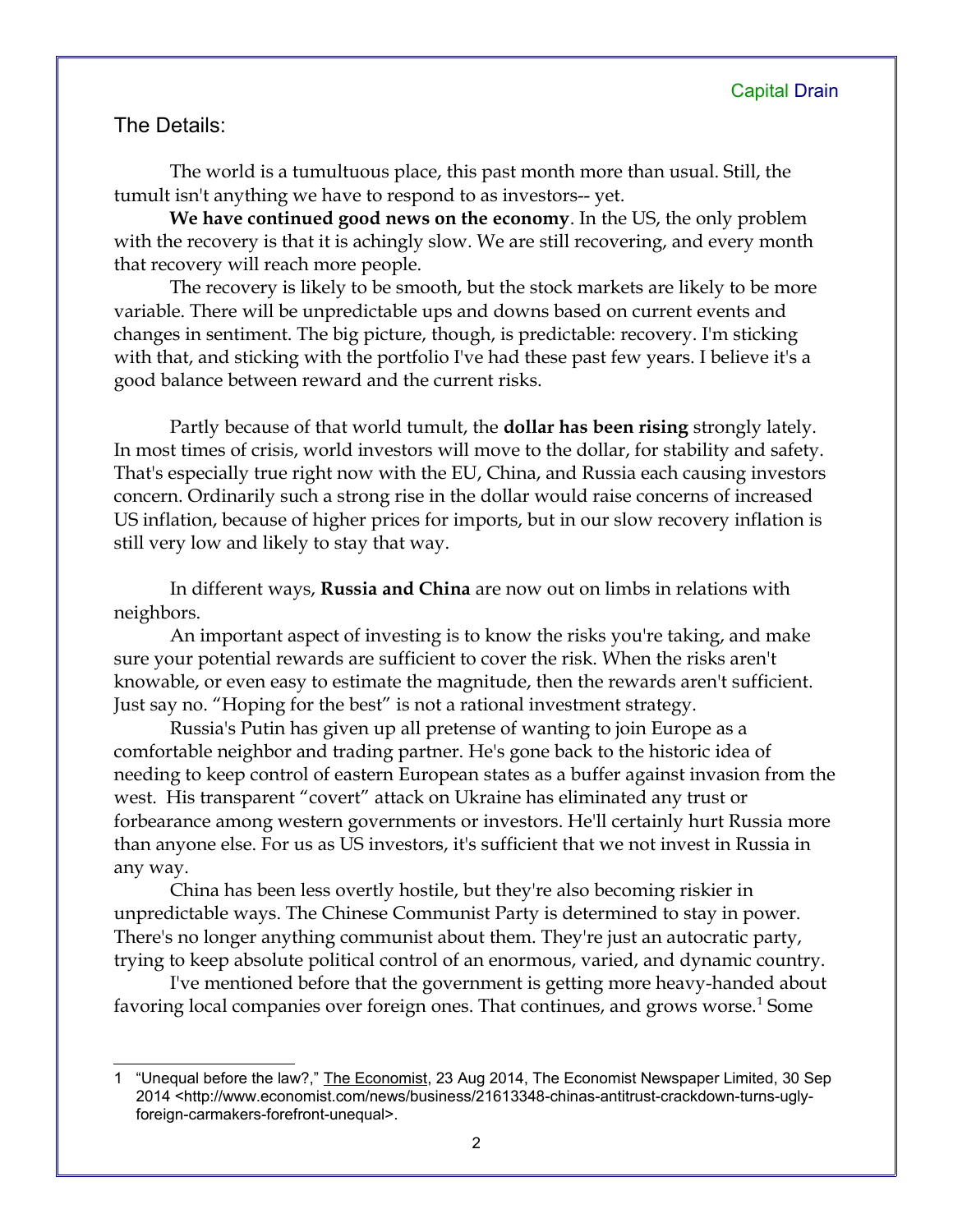## The Details:

The world is a tumultuous place, this past month more than usual. Still, the tumult isn't anything we have to respond to as investors-- yet.

**We have continued good news on the economy**. In the US, the only problem with the recovery is that it is achingly slow. We are still recovering, and every month that recovery will reach more people.

The recovery is likely to be smooth, but the stock markets are likely to be more variable. There will be unpredictable ups and downs based on current events and changes in sentiment. The big picture, though, is predictable: recovery. I'm sticking with that, and sticking with the portfolio I've had these past few years. I believe it's a good balance between reward and the current risks.

Partly because of that world tumult, the **dollar has been rising** strongly lately. In most times of crisis, world investors will move to the dollar, for stability and safety. That's especially true right now with the EU, China, and Russia each causing investors concern. Ordinarily such a strong rise in the dollar would raise concerns of increased US inflation, because of higher prices for imports, but in our slow recovery inflation is still very low and likely to stay that way.

In different ways, **Russia and China** are now out on limbs in relations with neighbors.

An important aspect of investing is to know the risks you're taking, and make sure your potential rewards are sufficient to cover the risk. When the risks aren't knowable, or even easy to estimate the magnitude, then the rewards aren't sufficient. Just say no. "Hoping for the best" is not a rational investment strategy.

Russia's Putin has given up all pretense of wanting to join Europe as a comfortable neighbor and trading partner. He's gone back to the historic idea of needing to keep control of eastern European states as a buffer against invasion from the west. His transparent "covert" attack on Ukraine has eliminated any trust or forbearance among western governments or investors. He'll certainly hurt Russia more than anyone else. For us as US investors, it's sufficient that we not invest in Russia in any way.

China has been less overtly hostile, but they're also becoming riskier in unpredictable ways. The Chinese Communist Party is determined to stay in power. There's no longer anything communist about them. They're just an autocratic party, trying to keep absolute political control of an enormous, varied, and dynamic country.

I've mentioned before that the government is getting more heavy-handed about favoring local companies over foreign ones. That continues, and grows worse.<sup>[1](#page-1-0)</sup> Some

<span id="page-1-0"></span><sup>1 &</sup>quot;Unequal before the law?," The Economist, 23 Aug 2014, The Economist Newspaper Limited, 30 Sep 2014 <http://www.economist.com/news/business/21613348-chinas-antitrust-crackdown-turns-uglyforeign-carmakers-forefront-unequal>.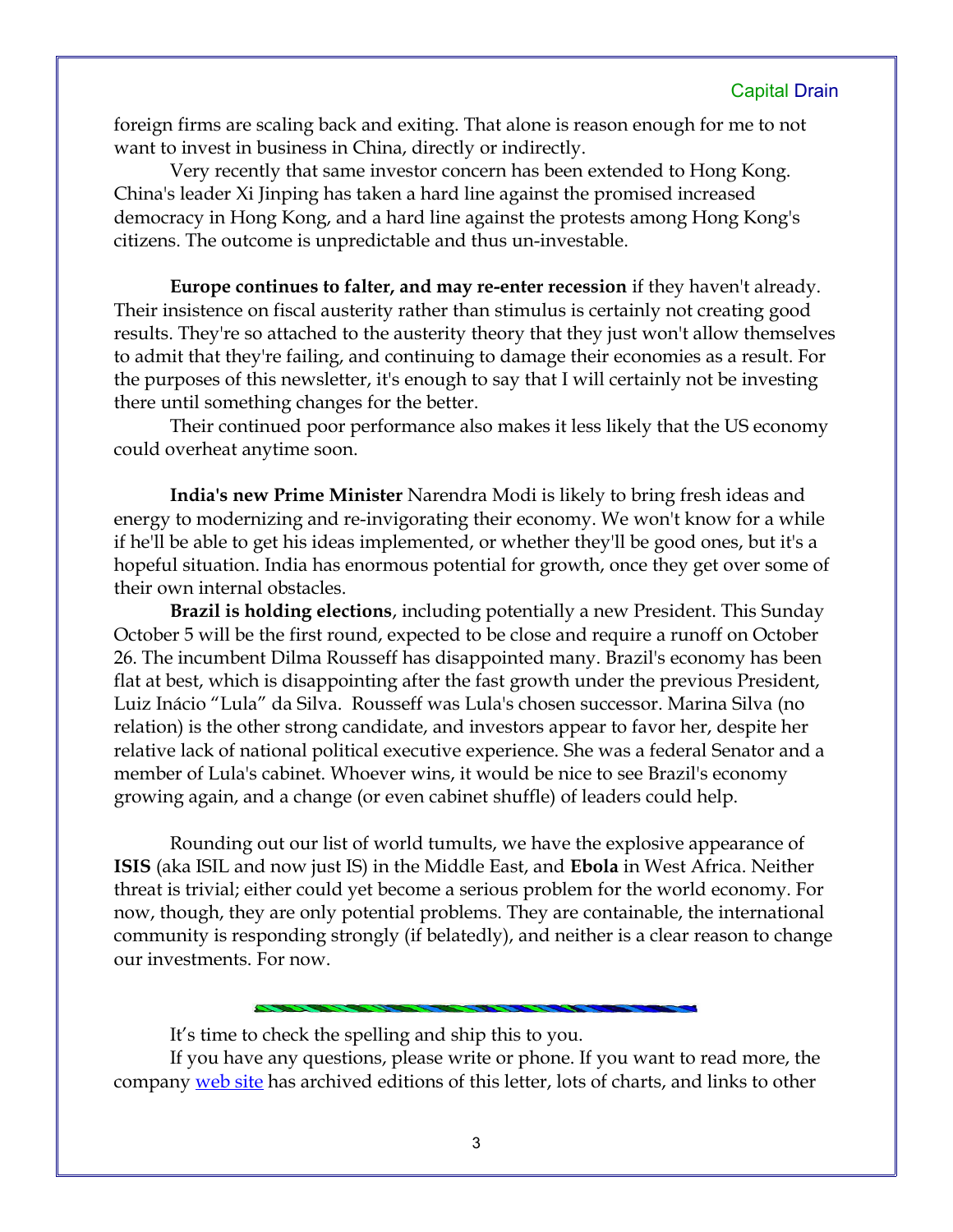foreign firms are scaling back and exiting. That alone is reason enough for me to not want to invest in business in China, directly or indirectly.

Very recently that same investor concern has been extended to Hong Kong. China's leader Xi Jinping has taken a hard line against the promised increased democracy in Hong Kong, and a hard line against the protests among Hong Kong's citizens. The outcome is unpredictable and thus un-investable.

**Europe continues to falter, and may re-enter recession** if they haven't already. Their insistence on fiscal austerity rather than stimulus is certainly not creating good results. They're so attached to the austerity theory that they just won't allow themselves to admit that they're failing, and continuing to damage their economies as a result. For the purposes of this newsletter, it's enough to say that I will certainly not be investing there until something changes for the better.

Their continued poor performance also makes it less likely that the US economy could overheat anytime soon.

**India's new Prime Minister** Narendra Modi is likely to bring fresh ideas and energy to modernizing and re-invigorating their economy. We won't know for a while if he'll be able to get his ideas implemented, or whether they'll be good ones, but it's a hopeful situation. India has enormous potential for growth, once they get over some of their own internal obstacles.

**Brazil is holding elections**, including potentially a new President. This Sunday October 5 will be the first round, expected to be close and require a runoff on October 26. The incumbent Dilma Rousseff has disappointed many. Brazil's economy has been flat at best, which is disappointing after the fast growth under the previous President, Luiz Inácio "Lula" da Silva. Rousseff was Lula's chosen successor. Marina Silva (no relation) is the other strong candidate, and investors appear to favor her, despite her relative lack of national political executive experience. She was a federal Senator and a member of Lula's cabinet. Whoever wins, it would be nice to see Brazil's economy growing again, and a change (or even cabinet shuffle) of leaders could help.

Rounding out our list of world tumults, we have the explosive appearance of **ISIS** (aka ISIL and now just IS) in the Middle East, and **Ebola** in West Africa. Neither threat is trivial; either could yet become a serious problem for the world economy. For now, though, they are only potential problems. They are containable, the international community is responding strongly (if belatedly), and neither is a clear reason to change our investments. For now.

It's time to check the spelling and ship this to you.

If you have any questions, please write or phone. If you want to read more, the company [web site](http://www.LongspliceInvest.com/newsletter.shtml) has archived editions of this letter, lots of charts, and links to other